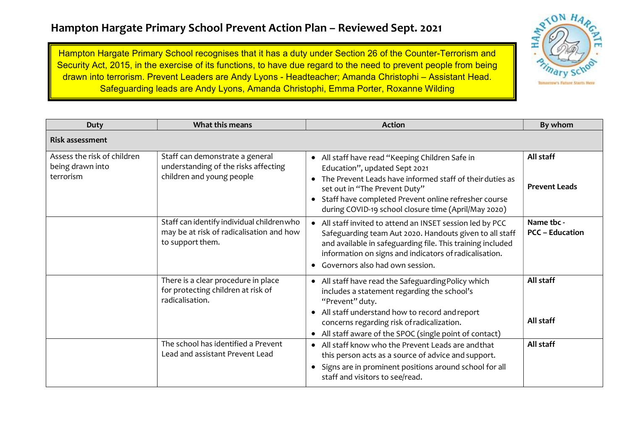## Hampton Hargate Primary School Prevent Action Plan – Reviewed Sept. 2021

Hampton Hargate Primary School recognises that it has a duty under Section 26 of the Counter-Terrorism and Security Act, 2015, in the exercise of its functions, to have due regard to the need to prevent people from being drawn into terrorism. Prevent Leaders are Andy Lyons - Headteacher; Amanda Christophi – Assistant Head. Safeguarding leads are Andy Lyons, Amanda Christophi, Emma Porter, Roxanne Wilding



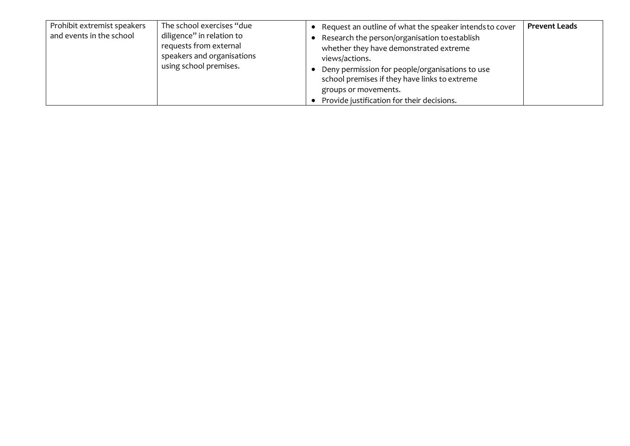| Prohibit extremist speakers<br>and events in the school | The school exercises "due<br>diligence" in relation to<br>requests from external<br>speakers and organisations<br>using school premises. | Request an outline of what the speaker intends to cover<br>Research the person/organisation to establish<br>whether they have demonstrated extreme<br>views/actions.<br>Deny permission for people/organisations to use<br>school premises if they have links to extreme<br>groups or movements.<br>Provide justification for their decisions. | <b>Prevent Leads</b> |
|---------------------------------------------------------|------------------------------------------------------------------------------------------------------------------------------------------|------------------------------------------------------------------------------------------------------------------------------------------------------------------------------------------------------------------------------------------------------------------------------------------------------------------------------------------------|----------------------|
|---------------------------------------------------------|------------------------------------------------------------------------------------------------------------------------------------------|------------------------------------------------------------------------------------------------------------------------------------------------------------------------------------------------------------------------------------------------------------------------------------------------------------------------------------------------|----------------------|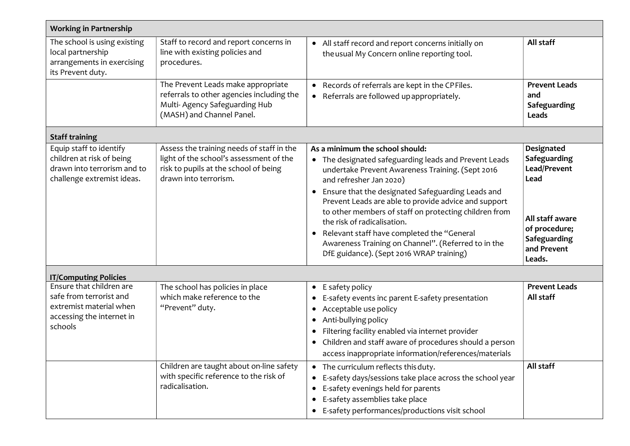| <b>Working in Partnership</b>                                                                                          |                                                                                                                                                        |                                                                                                                                                                                                                                                                                                                                                                                                                                                                                                                                              |                                                                                                                                 |  |  |
|------------------------------------------------------------------------------------------------------------------------|--------------------------------------------------------------------------------------------------------------------------------------------------------|----------------------------------------------------------------------------------------------------------------------------------------------------------------------------------------------------------------------------------------------------------------------------------------------------------------------------------------------------------------------------------------------------------------------------------------------------------------------------------------------------------------------------------------------|---------------------------------------------------------------------------------------------------------------------------------|--|--|
| The school is using existing<br>local partnership<br>arrangements in exercising<br>its Prevent duty.                   | Staff to record and report concerns in<br>line with existing policies and<br>procedures.                                                               | • All staff record and report concerns initially on<br>the usual My Concern online reporting tool.                                                                                                                                                                                                                                                                                                                                                                                                                                           | All staff                                                                                                                       |  |  |
|                                                                                                                        | The Prevent Leads make appropriate<br>referrals to other agencies including the<br>Multi-Agency Safeguarding Hub<br>(MASH) and Channel Panel.          | • Records of referrals are kept in the CPFiles.<br>• Referrals are followed up appropriately.                                                                                                                                                                                                                                                                                                                                                                                                                                                | <b>Prevent Leads</b><br>and<br>Safeguarding<br>Leads                                                                            |  |  |
| <b>Staff training</b>                                                                                                  |                                                                                                                                                        |                                                                                                                                                                                                                                                                                                                                                                                                                                                                                                                                              |                                                                                                                                 |  |  |
| Equip staff to identify<br>children at risk of being<br>drawn into terrorism and to<br>challenge extremist ideas.      | Assess the training needs of staff in the<br>light of the school's assessment of the<br>risk to pupils at the school of being<br>drawn into terrorism. | As a minimum the school should:<br>• The designated safeguarding leads and Prevent Leads<br>undertake Prevent Awareness Training. (Sept 2016<br>and refresher Jan 2020)<br>Ensure that the designated Safeguarding Leads and<br>$\bullet$<br>Prevent Leads are able to provide advice and support<br>to other members of staff on protecting children from<br>the risk of radicalisation.<br>• Relevant staff have completed the "General<br>Awareness Training on Channel". (Referred to in the<br>DfE guidance). (Sept 2016 WRAP training) | Designated<br>Safeguarding<br>Lead/Prevent<br>Lead<br>All staff aware<br>of procedure;<br>Safeguarding<br>and Prevent<br>Leads. |  |  |
| <b>IT/Computing Policies</b>                                                                                           |                                                                                                                                                        |                                                                                                                                                                                                                                                                                                                                                                                                                                                                                                                                              |                                                                                                                                 |  |  |
| Ensure that children are<br>safe from terrorist and<br>extremist material when<br>accessing the internet in<br>schools | The school has policies in place<br>which make reference to the<br>"Prevent" duty.                                                                     | • E safety policy<br>E-safety events inc parent E-safety presentation<br>Acceptable use policy<br>$\bullet$<br>Anti-bullying policy<br>$\bullet$<br>Filtering facility enabled via internet provider<br>Children and staff aware of procedures should a person<br>$\bullet$<br>access inappropriate information/references/materials                                                                                                                                                                                                         | <b>Prevent Leads</b><br>All staff                                                                                               |  |  |
|                                                                                                                        | Children are taught about on-line safety<br>with specific reference to the risk of<br>radicalisation.                                                  | • The curriculum reflects this duty.<br>E-safety days/sessions take place across the school year<br>$\bullet$<br>E-safety evenings held for parents<br>E-safety assemblies take place<br>• E-safety performances/productions visit school                                                                                                                                                                                                                                                                                                    | All staff                                                                                                                       |  |  |